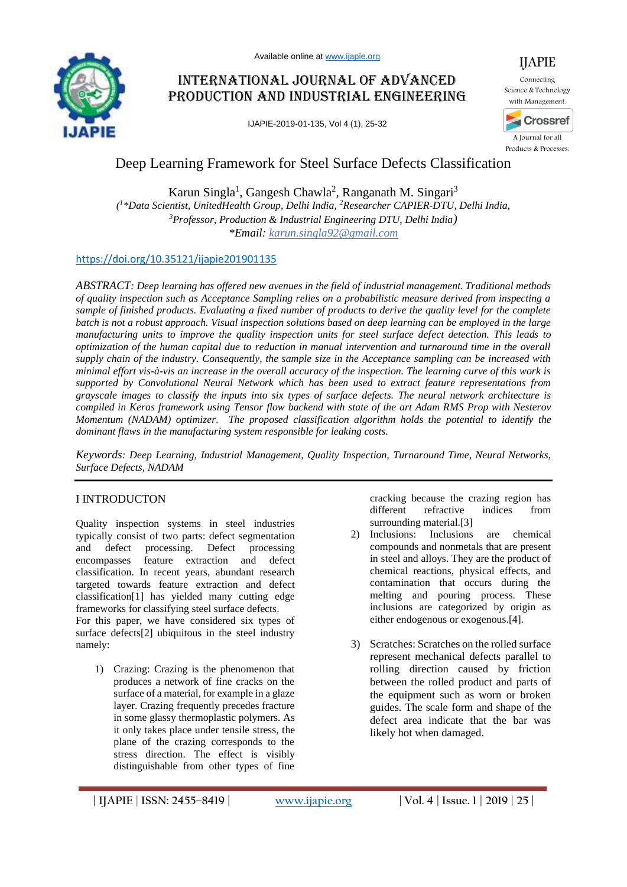

# International Journal of Advanced Production and Industrial Engineering

IJAPIE-2019-01-135, Vol 4 (1), 25-32



Science & Technology with Management.



A Journal for all Products & Processes.

# Deep Learning Framework for Steel Surface Defects Classification

Karun Singla<sup>1</sup>, Gangesh Chawla<sup>2</sup>, Ranganath M. Singari<sup>3</sup> *( 1 \*Data Scientist, UnitedHealth Group, Delhi India, <sup>2</sup>Researcher CAPIER-DTU, Delhi India, <sup>3</sup>Professor, Production & Industrial Engineering DTU, Delhi India) \*Email: [karun.singla92@gmail.com](mailto:karun.singla92@gmail.com)*

## <https://doi.org/10.35121/ijapie201901135>

*ABSTRACT: Deep learning has offered new avenues in the field of industrial management. Traditional methods of quality inspection such as Acceptance Sampling relies on a probabilistic measure derived from inspecting a sample of finished products. Evaluating a fixed number of products to derive the quality level for the complete batch is not a robust approach. Visual inspection solutions based on deep learning can be employed in the large manufacturing units to improve the quality inspection units for steel surface defect detection. This leads to optimization of the human capital due to reduction in manual intervention and turnaround time in the overall supply chain of the industry. Consequently, the sample size in the Acceptance sampling can be increased with minimal effort vis-à-vis an increase in the overall accuracy of the inspection. The learning curve of this work is supported by Convolutional Neural Network which has been used to extract feature representations from grayscale images to classify the inputs into six types of surface defects. The neural network architecture is compiled in Keras framework using Tensor flow backend with state of the art Adam RMS Prop with Nesterov Momentum (NADAM) optimizer. The proposed classification algorithm holds the potential to identify the dominant flaws in the manufacturing system responsible for leaking costs.*

*Keywords: Deep Learning, Industrial Management, Quality Inspection, Turnaround Time, Neural Networks, Surface Defects, NADAM*

## I INTRODUCTON

Quality inspection systems in steel industries typically consist of two parts: defect segmentation and defect processing. Defect processing encompasses feature extraction and defect classification. In recent years, abundant research targeted towards feature extraction and defect classification[1] has yielded many cutting edge frameworks for classifying steel surface defects.

For this paper, we have considered six types of surface defects[2] ubiquitous in the steel industry namely:

1) Crazing: Crazing is the phenomenon that produces a network of fine cracks on the surface of a material, for example in a glaze layer. Crazing frequently precedes fracture in some glassy thermoplastic polymers. As it only takes place under tensile stress, the plane of the crazing corresponds to the stress direction. The effect is visibly distinguishable from other types of fine cracking because the crazing region has different refractive indices from surrounding material.[3]

- 2) Inclusions: Inclusions are chemical compounds and nonmetals that are present in steel and alloys. They are the product of chemical reactions, physical effects, and contamination that occurs during the melting and pouring process. These inclusions are categorized by origin as either endogenous or exogenous.[4].
- 3) Scratches: Scratches on the rolled surface represent mechanical defects parallel to rolling direction caused by friction between the rolled product and parts of the equipment such as worn or broken guides. The scale form and shape of the defect area indicate that the bar was likely hot when damaged.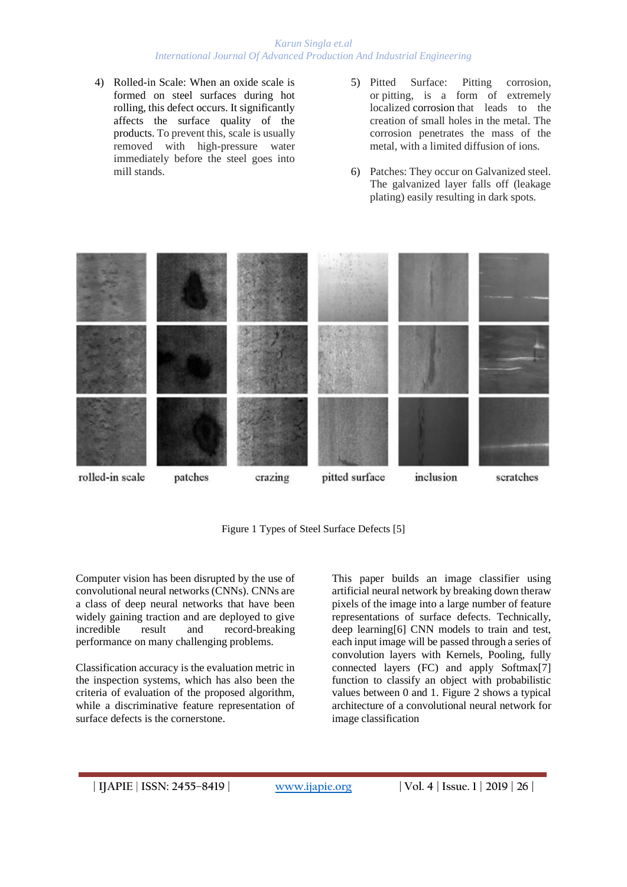#### *Karun Singla et.al International Journal Of Advanced Production And Industrial Engineering*

- 4) Rolled-in Scale: When an oxide scale is formed on steel surfaces during hot rolling, this defect occurs. It significantly affects the surface quality of the products. To prevent this, scale is usually removed with high-pressure water immediately before the steel goes into mill stands.
- 5) Pitted Surface: Pitting corrosion, or pitting, is a form of extremely localized corrosion that leads to the creation of small holes in the metal. The corrosion penetrates the mass of the metal, with a limited diffusion of ions.
- 6) Patches: They occur on Galvanized steel. The galvanized layer falls off (leakage plating) easily resulting in dark spots.



Figure 1 Types of Steel Surface Defects [5]

Computer vision has been disrupted by the use of convolutional neural networks (CNNs). CNNs are a class of deep neural networks that have been widely gaining traction and are deployed to give incredible result and record-breaking performance on many challenging problems.

Classification accuracy is the evaluation metric in the inspection systems, which has also been the criteria of evaluation of the proposed algorithm, while a discriminative feature representation of surface defects is the cornerstone.

This paper builds an image classifier using artificial neural network by breaking down theraw pixels of the image into a large number of feature representations of surface defects. Technically, deep learning[6] CNN models to train and test, each input image will be passed through a series of convolution layers with Kernels, Pooling, fully connected layers (FC) and apply Softmax[7] function to classify an object with probabilistic values between 0 and 1. Figure 2 shows a typical architecture of a convolutional neural network for image classification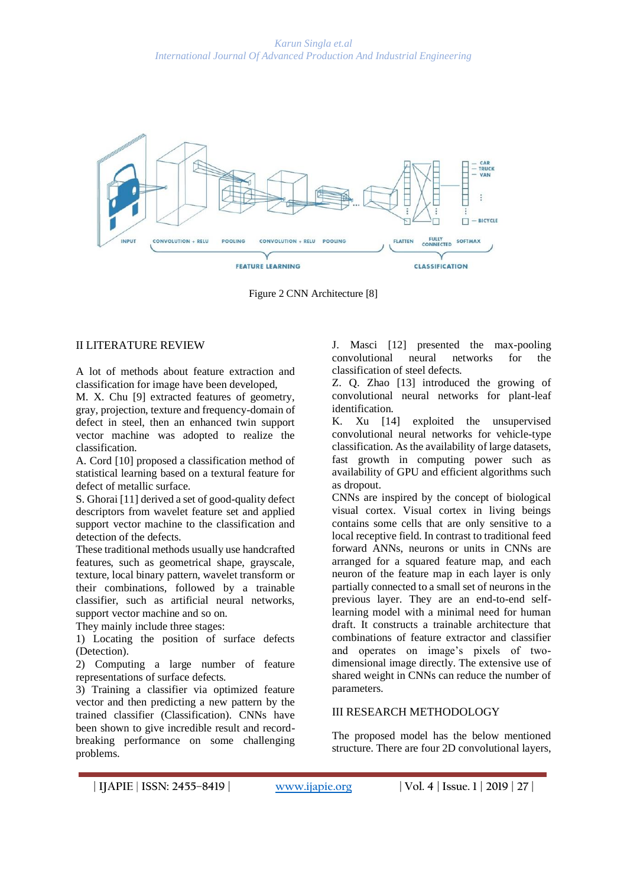![](_page_2_Figure_1.jpeg)

Figure 2 CNN Architecture [8]

## II LITERATURE REVIEW

A lot of methods about feature extraction and classification for image have been developed,

M. X. Chu [9] extracted features of geometry, gray, projection, texture and frequency-domain of defect in steel, then an enhanced twin support vector machine was adopted to realize the classification.

A. Cord [10] proposed a classification method of statistical learning based on a textural feature for defect of metallic surface.

S. Ghorai [11] derived a set of good-quality defect descriptors from wavelet feature set and applied support vector machine to the classification and detection of the defects.

These traditional methods usually use handcrafted features, such as geometrical shape, grayscale, texture, local binary pattern, wavelet transform or their combinations, followed by a trainable classifier, such as artificial neural networks, support vector machine and so on.

They mainly include three stages:

1) Locating the position of surface defects (Detection).

2) Computing a large number of feature representations of surface defects.

3) Training a classifier via optimized feature vector and then predicting a new pattern by the trained classifier (Classification). CNNs have been shown to give incredible result and recordbreaking performance on some challenging problems.

J. Masci [12] presented the max-pooling convolutional neural networks for the classification of steel defects.

Z. Q. Zhao [13] introduced the growing of convolutional neural networks for plant-leaf identification.

K. Xu [14] exploited the unsupervised convolutional neural networks for vehicle-type classification. As the availability of large datasets, fast growth in computing power such as availability of GPU and efficient algorithms such as dropout.

CNNs are inspired by the concept of biological visual cortex. Visual cortex in living beings contains some cells that are only sensitive to a local receptive field. In contrast to traditional feed forward ANNs, neurons or units in CNNs are arranged for a squared feature map, and each neuron of the feature map in each layer is only partially connected to a small set of neurons in the previous layer. They are an end-to-end selflearning model with a minimal need for human draft. It constructs a trainable architecture that combinations of feature extractor and classifier and operates on image's pixels of twodimensional image directly. The extensive use of shared weight in CNNs can reduce the number of parameters.

## III RESEARCH METHODOLOGY

The proposed model has the below mentioned structure. There are four 2D convolutional layers,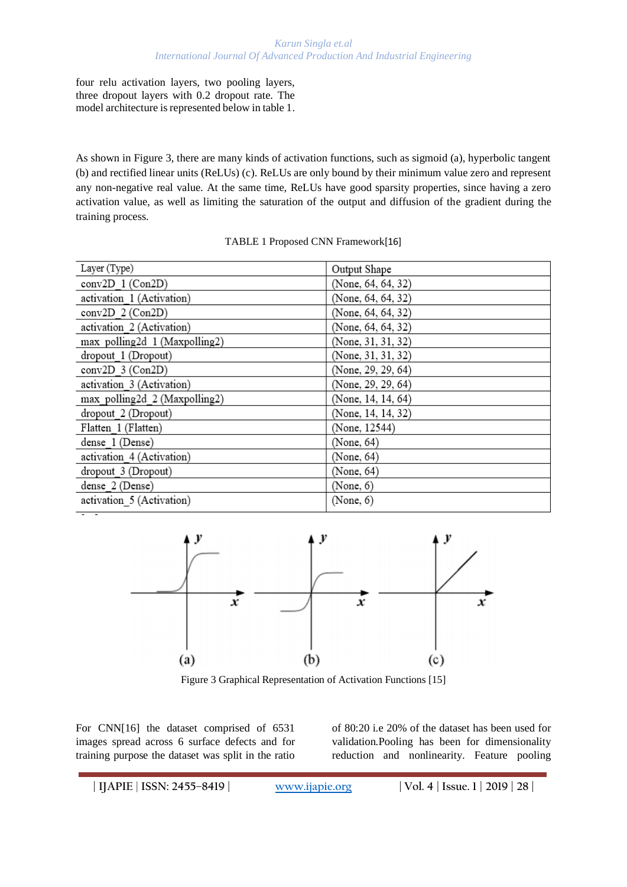four relu activation layers, two pooling layers, three dropout layers with 0.2 dropout rate. The model architecture is represented below in table 1.

As shown in Figure 3, there are many kinds of activation functions, such as sigmoid (a), hyperbolic tangent (b) and rectified linear units (ReLUs) (c). ReLUs are only bound by their minimum value zero and represent any non-negative real value. At the same time, ReLUs have good sparsity properties, since having a zero activation value, as well as limiting the saturation of the output and diffusion of the gradient during the training process.

## TABLE 1 Proposed CNN Framework[16]

| Layer (Type)                  | Output Shape       |
|-------------------------------|--------------------|
| conv2D 1 (Con2D)              | (None, 64, 64, 32) |
| activation 1 (Activation)     | (None, 64, 64, 32) |
| conv2D 2 (Con2D)              | (None, 64, 64, 32) |
| activation 2 (Activation)     | (None, 64, 64, 32) |
| max polling2d 1 (Maxpolling2) | (None, 31, 31, 32) |
| dropout 1 (Dropout)           | (None, 31, 31, 32) |
| conv2D 3 (Con2D)              | (None, 29, 29, 64) |
| activation 3 (Activation)     | (None, 29, 29, 64) |
| max polling2d 2 (Maxpolling2) | (None, 14, 14, 64) |
| dropout 2 (Dropout)           | (None, 14, 14, 32) |
| Flatten 1 (Flatten)           | (None, 12544)      |
| dense 1 (Dense)               | (None, 64)         |
| activation 4 (Activation)     | (None, 64)         |
| dropout 3 (Dropout)           | (None, 64)         |
| dense 2 (Dense)               | (None, 6)          |
| activation 5 (Activation)     | (None, 6)          |

![](_page_3_Figure_5.jpeg)

Figure 3 Graphical Representation of Activation Functions [15]

For CNN[16] the dataset comprised of 6531 images spread across 6 surface defects and for training purpose the dataset was split in the ratio of 80:20 i.e 20% of the dataset has been used for validation.Pooling has been for dimensionality reduction and nonlinearity. Feature pooling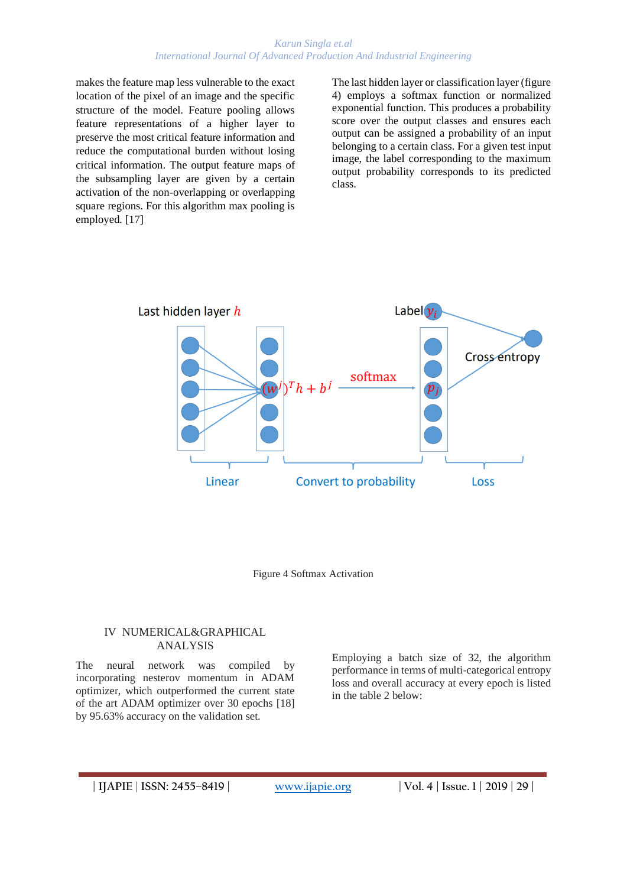#### *Karun Singla et.al International Journal Of Advanced Production And Industrial Engineering*

makes the feature map less vulnerable to the exact location of the pixel of an image and the specific structure of the model. Feature pooling allows feature representations of a higher layer to preserve the most critical feature information and reduce the computational burden without losing critical information. The output feature maps of the subsampling layer are given by a certain activation of the non-overlapping or overlapping square regions. For this algorithm max pooling is employed. [17]

The last hidden layer or classification layer (figure 4) employs a softmax function or normalized exponential function. This produces a probability score over the output classes and ensures each output can be assigned a probability of an input belonging to a certain class. For a given test input image, the label corresponding to the maximum output probability corresponds to its predicted class.

![](_page_4_Figure_3.jpeg)

Figure 4 Softmax Activation

#### IV NUMERICAL&GRAPHICAL ANALYSIS

The neural network was compiled by incorporating nesterov momentum in ADAM optimizer, which outperformed the current state of the art ADAM optimizer over 30 epochs [18] by 95.63% accuracy on the validation set.

Employing a batch size of 32, the algorithm performance in terms of multi-categorical entropy loss and overall accuracy at every epoch is listed in the table 2 below: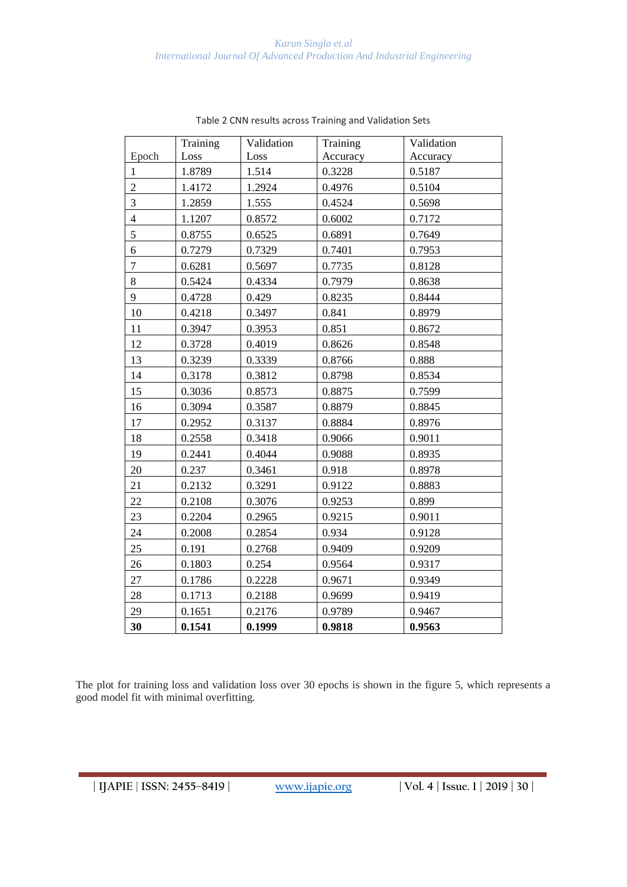#### *Karun Singla et.al International Journal Of Advanced Production And Industrial Engineering*

|                | Training | Validation | Training | Validation |
|----------------|----------|------------|----------|------------|
| Epoch          | Loss     | Loss       | Accuracy | Accuracy   |
| $\mathbf{1}$   | 1.8789   | 1.514      | 0.3228   | 0.5187     |
| $\overline{c}$ | 1.4172   | 1.2924     | 0.4976   | 0.5104     |
| 3              | 1.2859   | 1.555      | 0.4524   | 0.5698     |
| $\overline{4}$ | 1.1207   | 0.8572     | 0.6002   | 0.7172     |
| 5              | 0.8755   | 0.6525     | 0.6891   | 0.7649     |
| 6              | 0.7279   | 0.7329     | 0.7401   | 0.7953     |
| $\tau$         | 0.6281   | 0.5697     | 0.7735   | 0.8128     |
| 8              | 0.5424   | 0.4334     | 0.7979   | 0.8638     |
| 9              | 0.4728   | 0.429      | 0.8235   | 0.8444     |
| 10             | 0.4218   | 0.3497     | 0.841    | 0.8979     |
| 11             | 0.3947   | 0.3953     | 0.851    | 0.8672     |
| 12             | 0.3728   | 0.4019     | 0.8626   | 0.8548     |
| 13             | 0.3239   | 0.3339     | 0.8766   | 0.888      |
| 14             | 0.3178   | 0.3812     | 0.8798   | 0.8534     |
| 15             | 0.3036   | 0.8573     | 0.8875   | 0.7599     |
| 16             | 0.3094   | 0.3587     | 0.8879   | 0.8845     |
| 17             | 0.2952   | 0.3137     | 0.8884   | 0.8976     |
| 18             | 0.2558   | 0.3418     | 0.9066   | 0.9011     |
| 19             | 0.2441   | 0.4044     | 0.9088   | 0.8935     |
| 20             | 0.237    | 0.3461     | 0.918    | 0.8978     |
| 21             | 0.2132   | 0.3291     | 0.9122   | 0.8883     |
| 22             | 0.2108   | 0.3076     | 0.9253   | 0.899      |
| 23             | 0.2204   | 0.2965     | 0.9215   | 0.9011     |
| 24             | 0.2008   | 0.2854     | 0.934    | 0.9128     |
| 25             | 0.191    | 0.2768     | 0.9409   | 0.9209     |
| 26             | 0.1803   | 0.254      | 0.9564   | 0.9317     |
| 27             | 0.1786   | 0.2228     | 0.9671   | 0.9349     |
| 28             | 0.1713   | 0.2188     | 0.9699   | 0.9419     |
| 29             | 0.1651   | 0.2176     | 0.9789   | 0.9467     |
| 30             | 0.1541   | 0.1999     | 0.9818   | 0.9563     |

Table 2 CNN results across Training and Validation Sets

The plot for training loss and validation loss over 30 epochs is shown in the figure 5, which represents a good model fit with minimal overfitting.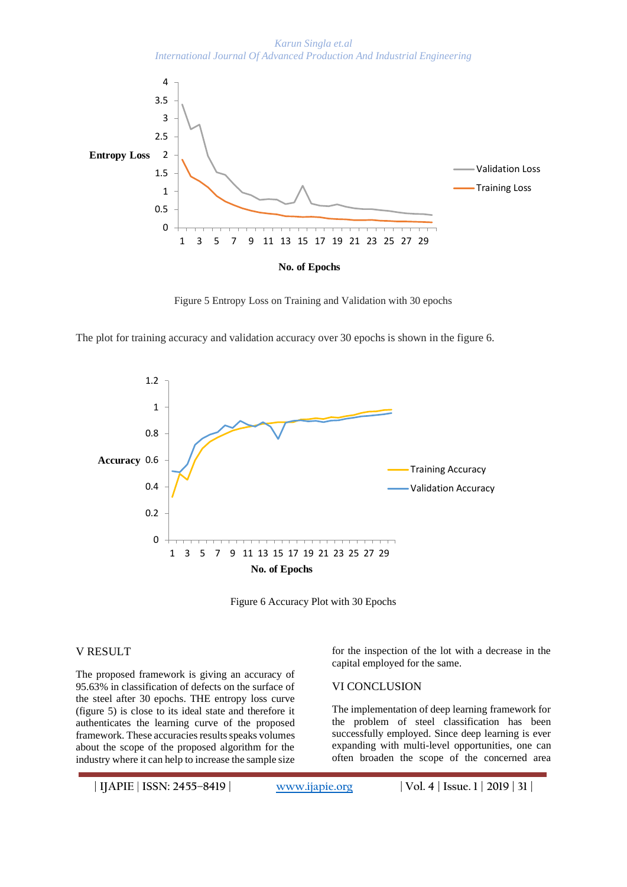*Karun Singla et.al International Journal Of Advanced Production And Industrial Engineering*

![](_page_6_Figure_1.jpeg)

Figure 5 Entropy Loss on Training and Validation with 30 epochs

The plot for training accuracy and validation accuracy over 30 epochs is shown in the figure 6.

![](_page_6_Figure_4.jpeg)

Figure 6 Accuracy Plot with 30 Epochs

#### V RESULT

The proposed framework is giving an accuracy of 95.63% in classification of defects on the surface of the steel after 30 epochs. THE entropy loss curve (figure 5) is close to its ideal state and therefore it authenticates the learning curve of the proposed framework. These accuracies results speaks volumes about the scope of the proposed algorithm for the industry where it can help to increase the sample size

for the inspection of the lot with a decrease in the capital employed for the same.

### VI CONCLUSION

The implementation of deep learning framework for the problem of steel classification has been successfully employed. Since deep learning is ever expanding with multi-level opportunities, one can often broaden the scope of the concerned area